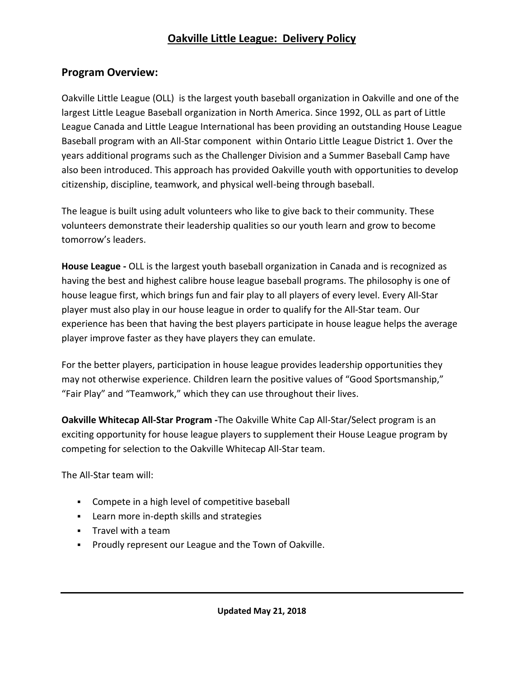## **Oakville Little League: Delivery Policy**

### **Program Overview:**

Oakville Little League (OLL) is the largest youth baseball organization in Oakville and one of the largest Little League Baseball organization in North America. Since 1992, OLL as part of Little League Canada and Little League International has been providing an outstanding House League Baseball program with an All-Star component within Ontario Little League District 1. Over the years additional programs such as the Challenger Division and a Summer Baseball Camp have also been introduced. This approach has provided Oakville youth with opportunities to develop citizenship, discipline, teamwork, and physical well-being through baseball.

The league is built using adult volunteers who like to give back to their community. These volunteers demonstrate their leadership qualities so our youth learn and grow to become tomorrow's leaders.

**House League -** OLL is the largest youth baseball organization in Canada and is recognized as having the best and highest calibre house league baseball programs. The philosophy is one of house league first, which brings fun and fair play to all players of every level. Every All-Star player must also play in our house league in order to qualify for the All-Star team. Our experience has been that having the best players participate in house league helps the average player improve faster as they have players they can emulate.

For the better players, participation in house league provides leadership opportunities they may not otherwise experience. Children learn the positive values of "Good Sportsmanship," "Fair Play" and "Teamwork," which they can use throughout their lives.

**Oakville Whitecap All-Star Program -**The Oakville White Cap All-Star/Select program is an exciting opportunity for house league players to supplement their House League program by competing for selection to the Oakville Whitecap All-Star team.

The All-Star team will:

- Compete in a high level of competitive baseball
- Learn more in-depth skills and strategies
- Travel with a team
- Proudly represent our League and the Town of Oakville.